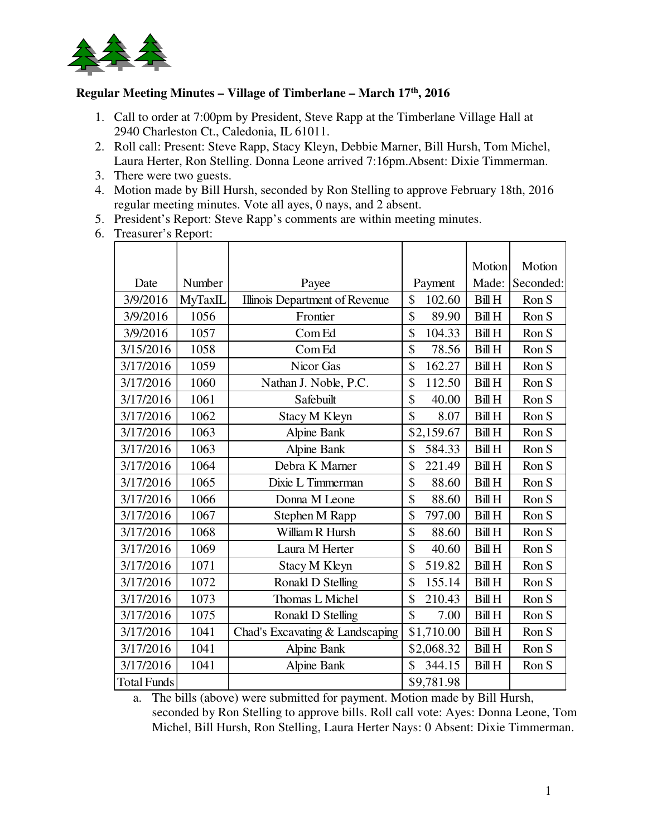

## **Regular Meeting Minutes – Village of Timberlane – March 17th, 2016**

- 1. Call to order at 7:00pm by President, Steve Rapp at the Timberlane Village Hall at 2940 Charleston Ct., Caledonia, IL 61011.
- 2. Roll call: Present: Steve Rapp, Stacy Kleyn, Debbie Marner, Bill Hursh, Tom Michel, Laura Herter, Ron Stelling. Donna Leone arrived 7:16pm.Absent: Dixie Timmerman.
- 3. There were two guests.
- 4. Motion made by Bill Hursh, seconded by Ron Stelling to approve February 18th, 2016 regular meeting minutes. Vote all ayes, 0 nays, and 2 absent.
- 5. President's Report: Steve Rapp's comments are within meeting minutes.
- 6. Treasurer's Report:

|                    |         |                                 |              | Motion        | Motion    |
|--------------------|---------|---------------------------------|--------------|---------------|-----------|
| Date               | Number  | Payee                           | Payment      | Made:         | Seconded: |
| 3/9/2016           | MyTaxIL | Illinois Department of Revenue  | \$<br>102.60 | <b>Bill H</b> | Ron S     |
| 3/9/2016           | 1056    | Frontier                        | \$<br>89.90  | <b>Bill H</b> | Ron S     |
| 3/9/2016           | 1057    | Com Ed                          | \$<br>104.33 | <b>Bill H</b> | Ron S     |
| 3/15/2016          | 1058    | Com Ed                          | \$<br>78.56  | <b>Bill H</b> | Ron S     |
| 3/17/2016          | 1059    | Nicor Gas                       | \$<br>162.27 | <b>Bill H</b> | Ron S     |
| 3/17/2016          | 1060    | Nathan J. Noble, P.C.           | \$<br>112.50 | <b>Bill H</b> | Ron S     |
| 3/17/2016          | 1061    | Safebuilt                       | \$<br>40.00  | <b>Bill H</b> | Ron S     |
| 3/17/2016          | 1062    | Stacy M Kleyn                   | \$<br>8.07   | <b>Bill H</b> | Ron S     |
| 3/17/2016          | 1063    | Alpine Bank                     | \$2,159.67   | <b>Bill H</b> | Ron S     |
| 3/17/2016          | 1063    | Alpine Bank                     | \$<br>584.33 | <b>Bill H</b> | Ron S     |
| 3/17/2016          | 1064    | Debra K Marner                  | \$<br>221.49 | <b>Bill H</b> | Ron S     |
| 3/17/2016          | 1065    | Dixie L Timmerman               | \$<br>88.60  | <b>Bill H</b> | Ron S     |
| 3/17/2016          | 1066    | Donna M Leone                   | \$<br>88.60  | <b>Bill H</b> | Ron S     |
| 3/17/2016          | 1067    | Stephen M Rapp                  | \$<br>797.00 | <b>Bill H</b> | Ron S     |
| 3/17/2016          | 1068    | William R Hursh                 | \$<br>88.60  | <b>Bill H</b> | Ron S     |
| 3/17/2016          | 1069    | Laura M Herter                  | \$<br>40.60  | <b>Bill H</b> | Ron S     |
| 3/17/2016          | 1071    | <b>Stacy M Kleyn</b>            | \$<br>519.82 | <b>Bill H</b> | Ron S     |
| 3/17/2016          | 1072    | Ronald D Stelling               | \$<br>155.14 | <b>Bill H</b> | Ron S     |
| 3/17/2016          | 1073    | Thomas L Michel                 | \$<br>210.43 | <b>Bill H</b> | Ron S     |
| 3/17/2016          | 1075    | Ronald D Stelling               | \$<br>7.00   | <b>Bill H</b> | Ron S     |
| 3/17/2016          | 1041    | Chad's Excavating & Landscaping | \$1,710.00   | <b>Bill H</b> | Ron S     |
| 3/17/2016          | 1041    | Alpine Bank                     | \$2,068.32   | <b>Bill H</b> | Ron S     |
| 3/17/2016          | 1041    | Alpine Bank                     | \$<br>344.15 | <b>Bill H</b> | Ron S     |
| <b>Total Funds</b> |         |                                 | \$9,781.98   |               |           |

a. The bills (above) were submitted for payment. Motion made by Bill Hursh, seconded by Ron Stelling to approve bills. Roll call vote: Ayes: Donna Leone, Tom Michel, Bill Hursh, Ron Stelling, Laura Herter Nays: 0 Absent: Dixie Timmerman.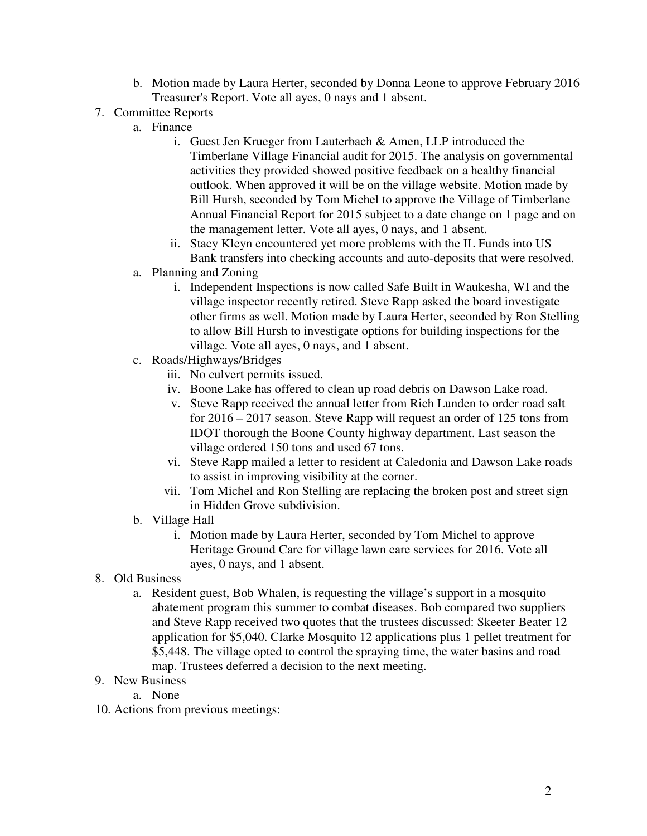- b. Motion made by Laura Herter, seconded by Donna Leone to approve February 2016 Treasurer's Report. Vote all ayes, 0 nays and 1 absent.
- 7. Committee Reports
	- a. Finance
		- i. Guest Jen Krueger from Lauterbach & Amen, LLP introduced the Timberlane Village Financial audit for 2015. The analysis on governmental activities they provided showed positive feedback on a healthy financial outlook. When approved it will be on the village website. Motion made by Bill Hursh, seconded by Tom Michel to approve the Village of Timberlane Annual Financial Report for 2015 subject to a date change on 1 page and on the management letter. Vote all ayes, 0 nays, and 1 absent.
		- ii. Stacy Kleyn encountered yet more problems with the IL Funds into US Bank transfers into checking accounts and auto-deposits that were resolved.
	- a. Planning and Zoning
		- i. Independent Inspections is now called Safe Built in Waukesha, WI and the village inspector recently retired. Steve Rapp asked the board investigate other firms as well. Motion made by Laura Herter, seconded by Ron Stelling to allow Bill Hursh to investigate options for building inspections for the village. Vote all ayes, 0 nays, and 1 absent.
	- c. Roads/Highways/Bridges
		- iii. No culvert permits issued.
		- iv. Boone Lake has offered to clean up road debris on Dawson Lake road.
		- v. Steve Rapp received the annual letter from Rich Lunden to order road salt for 2016 – 2017 season. Steve Rapp will request an order of 125 tons from IDOT thorough the Boone County highway department. Last season the village ordered 150 tons and used 67 tons.
		- vi. Steve Rapp mailed a letter to resident at Caledonia and Dawson Lake roads to assist in improving visibility at the corner.
		- vii. Tom Michel and Ron Stelling are replacing the broken post and street sign in Hidden Grove subdivision.
	- b. Village Hall
		- i. Motion made by Laura Herter, seconded by Tom Michel to approve Heritage Ground Care for village lawn care services for 2016. Vote all ayes, 0 nays, and 1 absent.
- 8. Old Business
	- a. Resident guest, Bob Whalen, is requesting the village's support in a mosquito abatement program this summer to combat diseases. Bob compared two suppliers and Steve Rapp received two quotes that the trustees discussed: Skeeter Beater 12 application for \$5,040. Clarke Mosquito 12 applications plus 1 pellet treatment for \$5,448. The village opted to control the spraying time, the water basins and road map. Trustees deferred a decision to the next meeting.
- 9. New Business
	- a. None
- 10. Actions from previous meetings: